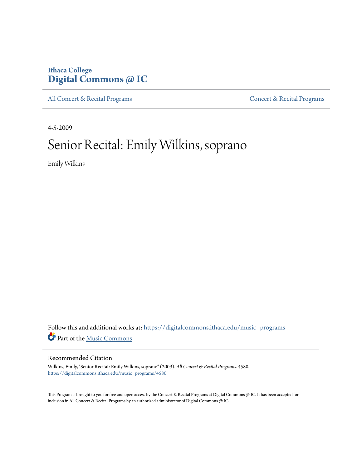## **Ithaca College [Digital Commons @ IC](https://digitalcommons.ithaca.edu?utm_source=digitalcommons.ithaca.edu%2Fmusic_programs%2F4580&utm_medium=PDF&utm_campaign=PDFCoverPages)**

[All Concert & Recital Programs](https://digitalcommons.ithaca.edu/music_programs?utm_source=digitalcommons.ithaca.edu%2Fmusic_programs%2F4580&utm_medium=PDF&utm_campaign=PDFCoverPages) **[Concert & Recital Programs](https://digitalcommons.ithaca.edu/som_programs?utm_source=digitalcommons.ithaca.edu%2Fmusic_programs%2F4580&utm_medium=PDF&utm_campaign=PDFCoverPages)** 

4-5-2009

# Senior Recital: Emily Wilkins, soprano

Emily Wilkins

Follow this and additional works at: [https://digitalcommons.ithaca.edu/music\\_programs](https://digitalcommons.ithaca.edu/music_programs?utm_source=digitalcommons.ithaca.edu%2Fmusic_programs%2F4580&utm_medium=PDF&utm_campaign=PDFCoverPages) Part of the [Music Commons](http://network.bepress.com/hgg/discipline/518?utm_source=digitalcommons.ithaca.edu%2Fmusic_programs%2F4580&utm_medium=PDF&utm_campaign=PDFCoverPages)

### Recommended Citation

Wilkins, Emily, "Senior Recital: Emily Wilkins, soprano" (2009). *All Concert & Recital Programs*. 4580. [https://digitalcommons.ithaca.edu/music\\_programs/4580](https://digitalcommons.ithaca.edu/music_programs/4580?utm_source=digitalcommons.ithaca.edu%2Fmusic_programs%2F4580&utm_medium=PDF&utm_campaign=PDFCoverPages)

This Program is brought to you for free and open access by the Concert & Recital Programs at Digital Commons @ IC. It has been accepted for inclusion in All Concert & Recital Programs by an authorized administrator of Digital Commons @ IC.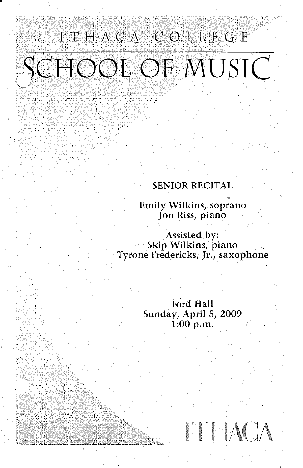# ITHACA COLLEGE SCHOOL OF MUSIC

### SENIOR RECITAL

~a≐

Emily Wilkins, soprano Jon Riss, piano

Assisted by: Skip Wilkins, piano Tyrone Fredericks, Jr., saxophone

> Ford Hall Sunday, April 5, 2009 1:00 p.m.